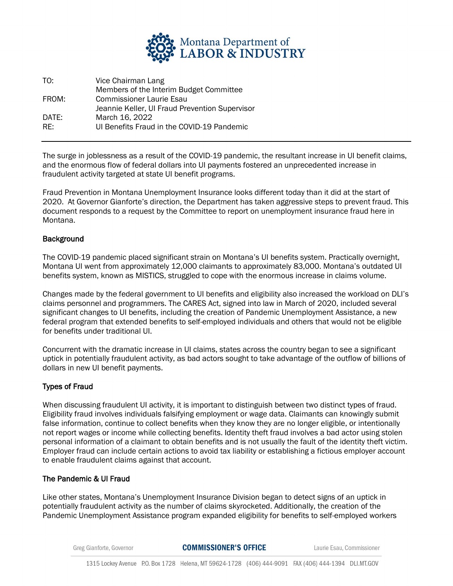

| TO:   | Vice Chairman Lang                             |
|-------|------------------------------------------------|
|       | Members of the Interim Budget Committee        |
| FROM: | <b>Commissioner Laurie Esau</b>                |
|       | Jeannie Keller, UI Fraud Prevention Supervisor |
| DATE: | March 16, 2022                                 |
| RF:   | UI Benefits Fraud in the COVID-19 Pandemic     |

The surge in joblessness as a result of the COVID-19 pandemic, the resultant increase in UI benefit claims, and the enormous flow of federal dollars into UI payments fostered an unprecedented increase in fraudulent activity targeted at state UI benefit programs.

Fraud Prevention in Montana Unemployment Insurance looks different today than it did at the start of 2020. At Governor Gianforte's direction, the Department has taken aggressive steps to prevent fraud. This document responds to a request by the Committee to report on unemployment insurance fraud here in Montana.

## Background

The COVID-19 pandemic placed significant strain on Montana's UI benefits system. Practically overnight, Montana UI went from approximately 12,000 claimants to approximately 83,000. Montana's outdated UI benefits system, known as MISTICS, struggled to cope with the enormous increase in claims volume.

Changes made by the federal government to UI benefits and eligibility also increased the workload on DLI's claims personnel and programmers. The CARES Act, signed into law in March of 2020, included several significant changes to UI benefits, including the creation of Pandemic Unemployment Assistance, a new federal program that extended benefits to self-employed individuals and others that would not be eligible for benefits under traditional UI.

Concurrent with the dramatic increase in UI claims, states across the country began to see a significant uptick in potentially fraudulent activity, as bad actors sought to take advantage of the outflow of billions of dollars in new UI benefit payments.

## Types of Fraud

When discussing fraudulent UI activity, it is important to distinguish between two distinct types of fraud. Eligibility fraud involves individuals falsifying employment or wage data. Claimants can knowingly submit false information, continue to collect benefits when they know they are no longer eligible, or intentionally not report wages or income while collecting benefits. Identity theft fraud involves a bad actor using stolen personal information of a claimant to obtain benefits and is not usually the fault of the identity theft victim. Employer fraud can include certain actions to avoid tax liability or establishing a fictious employer account to enable fraudulent claims against that account.

## The Pandemic & UI Fraud

Like other states, Montana's Unemployment Insurance Division began to detect signs of an uptick in potentially fraudulent activity as the number of claims skyrocketed. Additionally, the creation of the Pandemic Unemployment Assistance program expanded eligibility for benefits to self-employed workers

Greg Gianforte, Governor

**COMMISSIONER'S OFFICE** 

Laurie Esau, Commissioner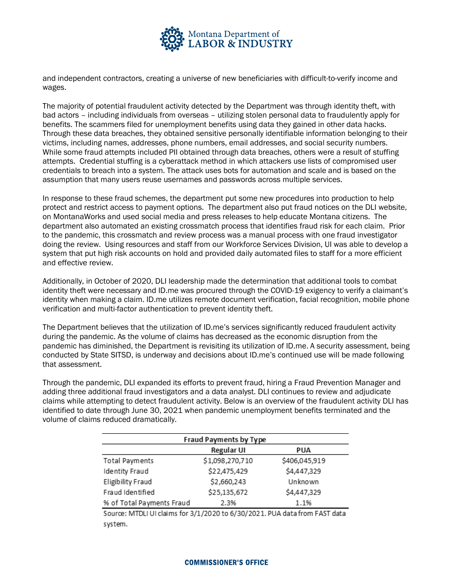

and independent contractors, creating a universe of new beneficiaries with difficult-to-verify income and wages.

The majority of potential fraudulent activity detected by the Department was through identity theft, with bad actors – including individuals from overseas – utilizing stolen personal data to fraudulently apply for benefits. The scammers filed for unemployment benefits using data they gained in other data hacks. Through these data breaches, they obtained sensitive personally identifiable information belonging to their victims, including names, addresses, phone numbers, email addresses, and social security numbers. While some fraud attempts included PII obtained through data breaches, others were a result of stuffing attempts. Credential stuffing is a cyberattack method in which attackers use lists of compromised user credentials to breach into a system. The attack uses bots for automation and scale and is based on the assumption that many users reuse usernames and passwords across multiple services.

In response to these fraud schemes, the department put some new procedures into production to help protect and restrict access to payment options. The department also put fraud notices on the DLI website, on MontanaWorks and used social media and press releases to help educate Montana citizens. The department also automated an existing crossmatch process that identifies fraud risk for each claim. Prior to the pandemic, this crossmatch and review process was a manual process with one fraud investigator doing the review. Using resources and staff from our Workforce Services Division, UI was able to develop a system that put high risk accounts on hold and provided daily automated files to staff for a more efficient and effective review.

Additionally, in October of 2020, DLI leadership made the determination that additional tools to combat identity theft were necessary and ID.me was procured through the COVID-19 exigency to verify a claimant's identity when making a claim. ID.me utilizes remote document verification, facial recognition, mobile phone verification and multi-factor authentication to prevent identity theft.

The Department believes that the utilization of ID.me's services significantly reduced fraudulent activity during the pandemic. As the volume of claims has decreased as the economic disruption from the pandemic has diminished, the Department is revisiting its utilization of ID.me. A security assessment, being conducted by State SITSD, is underway and decisions about ID.me's continued use will be made following that assessment.

Through the pandemic, DLI expanded its efforts to prevent fraud, hiring a Fraud Prevention Manager and adding three additional fraud investigators and a data analyst. DLI continues to review and adjudicate claims while attempting to detect fraudulent activity. Below is an overview of the fraudulent activity DLI has identified to date through June 30, 2021 when pandemic unemployment benefits terminated and the volume of claims reduced dramatically.

| <b>Fraud Payments by Type</b> |                   |               |  |  |
|-------------------------------|-------------------|---------------|--|--|
|                               | <b>Regular UI</b> | <b>PUA</b>    |  |  |
| Total Payments                | \$1,098,270,710   | \$406,045,919 |  |  |
| Identity Fraud                | \$22,475,429      | \$4,447,329   |  |  |
| Eligibility Fraud             | \$2,660,243       | Unknown       |  |  |
| Fraud Identified              | \$25,135,672      | \$4,447,329   |  |  |
| % of Total Payments Fraud     | 2.3%              | 1.1%          |  |  |

Source: MTDLI UI claims for 3/1/2020 to 6/30/2021. PUA data from FAST data system.